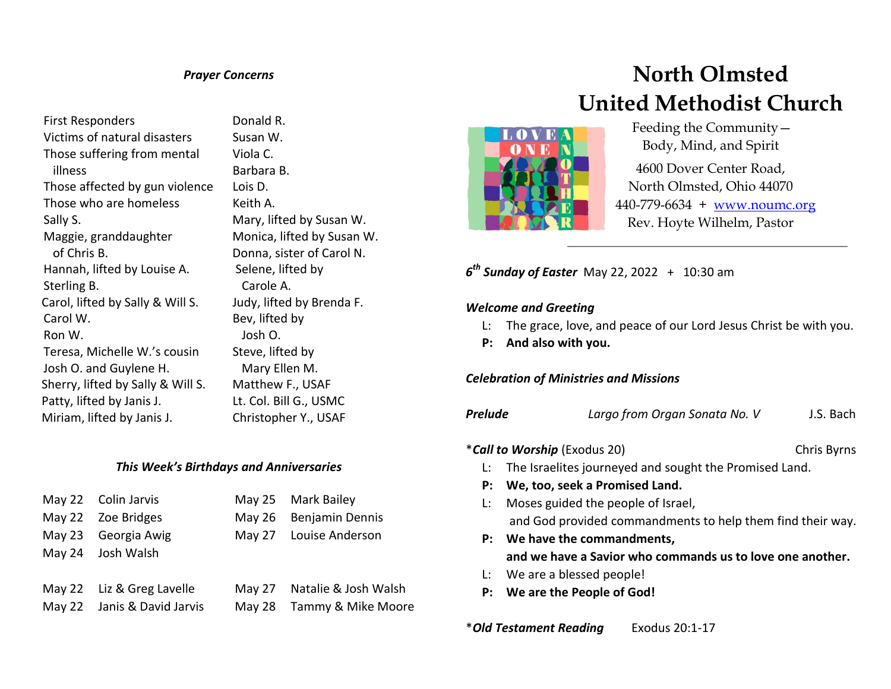### *Prayer Concerns*

First Responders Victims of natural disasters Those suffering from mental illness Those affected by gun violence Those who are homeless Sally S. Maggie, granddaughter of Chris B. Hannah, lifted by Louise A. Sterling B. Carol, lifted by Sally & Will S. Carol W. Ron W. Teresa, Michelle W.'s cousin Josh O. and Guylene H. Sherry, lifted by Sally & Will S. Patty, lifted by Janis J. Miriam, lifted by Janis J.

 Donald R. Susan W. Viola C. Barbara B. Lois D. Keith A. Mary, lifted by Susan W. Monica, lifted by Susan W. Donna, sister of Carol N. Selene, lifted by Carole A. Judy, lifted by Brenda F. Bev, lifted by Josh O. Steve, lifted by Mary Ellen M. Matthew F., USAF Lt. Col. Bill G., USMC Christopher Y., USAF

## *This Week's Birthdays and Anniversaries*

| May 22 Colin Jarvis         | May 25 Mark Bailey          |
|-----------------------------|-----------------------------|
| May 22 Zoe Bridges          | May 26 Benjamin Dennis      |
| May 23 Georgia Awig         | May 27 Louise Anderson      |
| May 24 Josh Walsh           |                             |
|                             |                             |
| May 22 Liz & Greg Lavelle   | May 27 Natalie & Josh Walsh |
| May 22 Janis & David Jarvis | May 28 Tammy & Mike Moore   |

# **North Olmsted United Methodist Church**



 Feeding the Community— Body, Mind, and Spirit

4600 Dover Center Road, North Olmsted, Ohio 44070 440-779-6634 + [www.noumc.org](http://www.noumc.org/) Rev. Hoyte Wilhelm, Pastor

*6 th Sunday of Easter* May 22, 2022 + 10:30 am

#### *Welcome and Greeting*

- L: The grace, love, and peace of our Lord Jesus Christ be with you.
- **P: And also with you.**

## *Celebration of Ministries and Missions*

| Prelude<br>Largo from Organ Sonata No. V | J.S. Bach |
|------------------------------------------|-----------|
|------------------------------------------|-----------|

- \**Call to Worship* (Exodus 20) Chris Byrns
	-
	- L: The Israelites journeyed and sought the Promised Land.
	- **P: We, too, seek a Promised Land.**
	- L: Moses guided the people of Israel, and God provided commandments to help them find their way.
	- **P: We have the commandments, and we have a Savior who commands us to love one another.**
	- L: We are a blessed people!
	- **P: We are the People of God!**

\**Old Testament Reading* Exodus 20:1-17